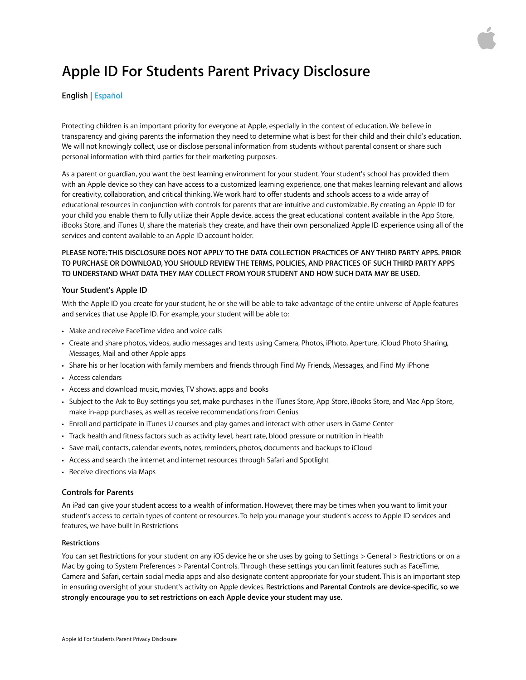# <span id="page-0-0"></span>**Apple ID For Students Parent Privacy Disclosure**

# **English | [Español](#page-3-0)**

Protecting children is an important priority for everyone at Apple, especially in the context of education. We believe in transparency and giving parents the information they need to determine what is best for their child and their child's education. We will not knowingly collect, use or disclose personal information from students without parental consent or share such personal information with third parties for their marketing purposes.

As a parent or guardian, you want the best learning environment for your student. Your student's school has provided them with an Apple device so they can have access to a customized learning experience, one that makes learning relevant and allows for creativity, collaboration, and critical thinking. We work hard to offer students and schools access to a wide array of educational resources in conjunction with controls for parents that are intuitive and customizable. By creating an Apple ID for your child you enable them to fully utilize their Apple device, access the great educational content available in the App Store, iBooks Store, and iTunes U, share the materials they create, and have their own personalized Apple ID experience using all of the services and content available to an Apple ID account holder.

# **PLEASE NOTE: THIS DISCLOSURE DOES NOT APPLY TO THE DATA COLLECTION PRACTICES OF ANY THIRD PARTY APPS. PRIOR TO PURCHASE OR DOWNLOAD, YOU SHOULD REVIEW THE TERMS, POLICIES, AND PRACTICES OF SUCH THIRD PARTY APPS TO UNDERSTAND WHAT DATA THEY MAY COLLECT FROM YOUR STUDENT AND HOW SUCH DATA MAY BE USED.**

# **Your Student's Apple ID**

With the Apple ID you create for your student, he or she will be able to take advantage of the entire universe of Apple features and services that use Apple ID. For example, your student will be able to:

- Make and receive FaceTime video and voice calls
- Create and share photos, videos, audio messages and texts using Camera, Photos, iPhoto, Aperture, iCloud Photo Sharing, Messages, Mail and other Apple apps
- Share his or her location with family members and friends through Find My Friends, Messages, and Find My iPhone
- Access calendars
- Access and download music, movies, TV shows, apps and books
- Subject to the Ask to Buy settings you set, make purchases in the iTunes Store, App Store, iBooks Store, and Mac App Store, make in-app purchases, as well as receive recommendations from Genius
- Enroll and participate in iTunes U courses and play games and interact with other users in Game Center
- Track health and fitness factors such as activity level, heart rate, blood pressure or nutrition in Health
- Save mail, contacts, calendar events, notes, reminders, photos, documents and backups to iCloud
- Access and search the internet and internet resources through Safari and Spotlight
- Receive directions via Maps

## **Controls for Parents**

An iPad can give your student access to a wealth of information. However, there may be times when you want to limit your student's access to certain types of content or resources. To help you manage your student's access to Apple ID services and features, we have built in Restrictions

### **Restrictions**

You can set Restrictions for your student on any iOS device he or she uses by going to Settings > General > Restrictions or on a Mac by going to System Preferences > Parental Controls. Through these settings you can limit features such as FaceTime, Camera and Safari, certain social media apps and also designate content appropriate for your student. This is an important step in ensuring oversight of your student's activity on Apple devices. R**estrictions and Parental Controls are device-specific, so we strongly encourage you to set restrictions on each Apple device your student may use.**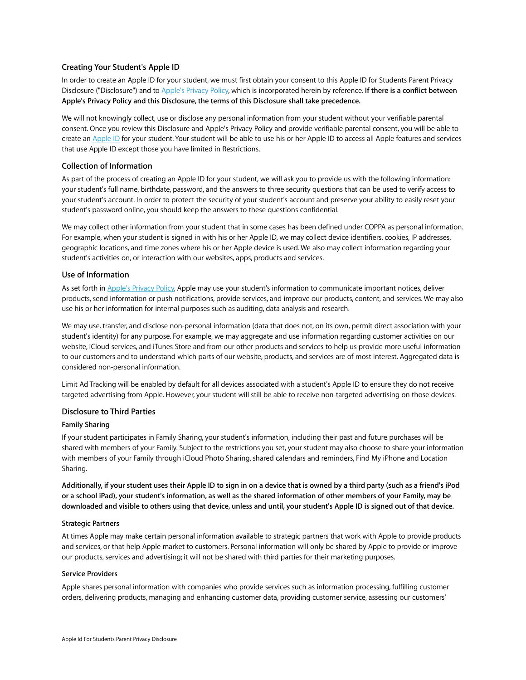# **Creating Your Student's Apple ID**

In order to create an Apple ID for your student, we must first obtain your consent to this Apple ID for Students Parent Privacy Disclosure ("Disclosure") and to [Apple's Privacy Policy,](http://www.apple.com/privacy/) which is incorporated herein by reference. **If there is a conflict between Apple's Privacy Policy and this Disclosure, the terms of this Disclosure shall take precedence.**

We will not knowingly collect, use or disclose any personal information from your student without your verifiable parental consent. Once you review this Disclosure and Apple's Privacy Policy and provide verifiable parental consent, you will be able to create an [Apple ID](http://www.apple.com/support/appleid/) for your student. Your student will be able to use his or her Apple ID to access all Apple features and services that use Apple ID except those you have limited in Restrictions.

# **Collection of Information**

As part of the process of creating an Apple ID for your student, we will ask you to provide us with the following information: your student's full name, birthdate, password, and the answers to three security questions that can be used to verify access to your student's account. In order to protect the security of your student's account and preserve your ability to easily reset your student's password online, you should keep the answers to these questions confidential.

We may collect other information from your student that in some cases has been defined under COPPA as personal information. For example, when your student is signed in with his or her Apple ID, we may collect device identifiers, cookies, IP addresses, geographic locations, and time zones where his or her Apple device is used. We also may collect information regarding your student's activities on, or interaction with our websites, apps, products and services.

# **Use of Information**

As set forth in [Apple's Privacy Policy,](http://www.apple.com/privacy/) Apple may use your student's information to communicate important notices, deliver products, send information or push notifications, provide services, and improve our products, content, and services. We may also use his or her information for internal purposes such as auditing, data analysis and research.

We may use, transfer, and disclose non-personal information (data that does not, on its own, permit direct association with your student's identity) for any purpose. For example, we may aggregate and use information regarding customer activities on our website, iCloud services, and iTunes Store and from our other products and services to help us provide more useful information to our customers and to understand which parts of our website, products, and services are of most interest. Aggregated data is considered non-personal information.

Limit Ad Tracking will be enabled by default for all devices associated with a student's Apple ID to ensure they do not receive targeted advertising from Apple. However, your student will still be able to receive non-targeted advertising on those devices.

# **Disclosure to Third Parties**

# **Family Sharing**

If your student participates in Family Sharing, your student's information, including their past and future purchases will be shared with members of your Family. Subject to the restrictions you set, your student may also choose to share your information with members of your Family through iCloud Photo Sharing, shared calendars and reminders, Find My iPhone and Location Sharing.

**Additionally, if your student uses their Apple ID to sign in on a device that is owned by a third party (such as a friend's iPod or a school iPad), your student's information, as well as the shared information of other members of your Family, may be downloaded and visible to others using that device, unless and until, your student's Apple ID is signed out of that device.** 

## **Strategic Partners**

At times Apple may make certain personal information available to strategic partners that work with Apple to provide products and services, or that help Apple market to customers. Personal information will only be shared by Apple to provide or improve our products, services and advertising; it will not be shared with third parties for their marketing purposes.

# **Service Providers**

Apple shares personal information with companies who provide services such as information processing, fulfilling customer orders, delivering products, managing and enhancing customer data, providing customer service, assessing our customers'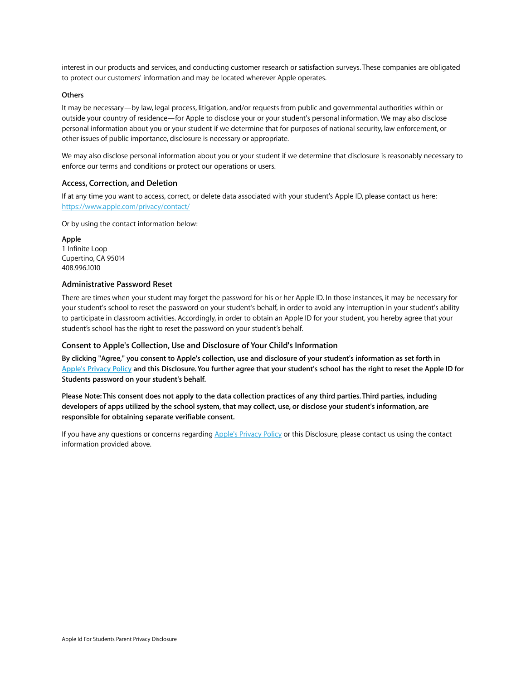interest in our products and services, and conducting customer research or satisfaction surveys. These companies are obligated to protect our customers' information and may be located wherever Apple operates.

## **Others**

It may be necessary—by law, legal process, litigation, and/or requests from public and governmental authorities within or outside your country of residence—for Apple to disclose your or your student's personal information. We may also disclose personal information about you or your student if we determine that for purposes of national security, law enforcement, or other issues of public importance, disclosure is necessary or appropriate.

We may also disclose personal information about you or your student if we determine that disclosure is reasonably necessary to enforce our terms and conditions or protect our operations or users.

### **Access, Correction, and Deletion**

If at any time you want to access, correct, or delete data associated with your student's Apple ID, please contact us here: <https://www.apple.com/privacy/contact/>

Or by using the contact information below:

**Apple**  1 Infinite Loop Cupertino, CA 95014 408.996.1010

# **Administrative Password Reset**

There are times when your student may forget the password for his or her Apple ID. In those instances, it may be necessary for your student's school to reset the password on your student's behalf, in order to avoid any interruption in your student's ability to participate in classroom activities. Accordingly, in order to obtain an Apple ID for your student, you hereby agree that your student's school has the right to reset the password on your student's behalf.

## **Consent to Apple's Collection, Use and Disclosure of Your Child's Information**

**By clicking "Agree," you consent to Apple's collection, use and disclosure of your student's information as set forth in [Apple's Privacy Policy](http://www.apple.com/privacy/) and this Disclosure. You further agree that your student's school has the right to reset the Apple ID for Students password on your student's behalf.** 

**Please Note: This consent does not apply to the data collection practices of any third parties. Third parties, including developers of apps utilized by the school system, that may collect, use, or disclose your student's information, are responsible for obtaining separate verifiable consent.** 

If you have any questions or concerns regarding [Apple's Privacy Policy](http://www.apple.com/privacy/) or this Disclosure, please contact us using the contact information provided above.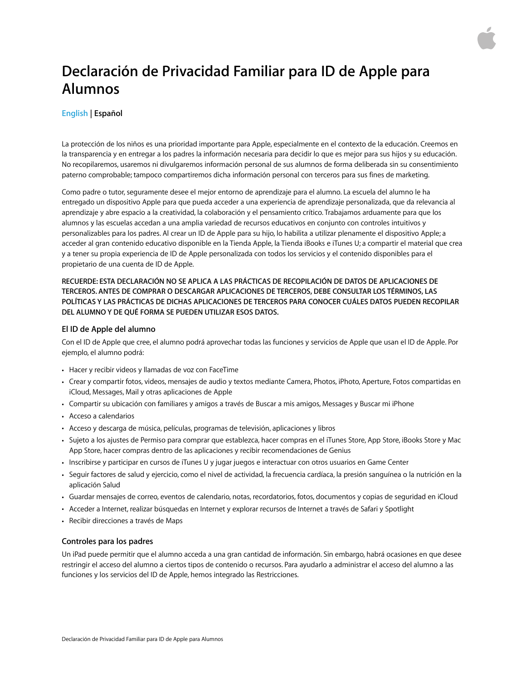# <span id="page-3-0"></span>**Declaración de Privacidad Familiar para ID de Apple para Alumnos**

# **[English](#page-0-0) | Español**

La protección de los niños es una prioridad importante para Apple, especialmente en el contexto de la educación. Creemos en la transparencia y en entregar a los padres la información necesaria para decidir lo que es mejor para sus hijos y su educación. No recopilaremos, usaremos ni divulgaremos información personal de sus alumnos de forma deliberada sin su consentimiento paterno comprobable; tampoco compartiremos dicha información personal con terceros para sus fines de marketing.

Como padre o tutor, seguramente desee el mejor entorno de aprendizaje para el alumno. La escuela del alumno le ha entregado un dispositivo Apple para que pueda acceder a una experiencia de aprendizaje personalizada, que da relevancia al aprendizaje y abre espacio a la creatividad, la colaboración y el pensamiento crítico. Trabajamos arduamente para que los alumnos y las escuelas accedan a una amplia variedad de recursos educativos en conjunto con controles intuitivos y personalizables para los padres. Al crear un ID de Apple para su hijo, lo habilita a utilizar plenamente el dispositivo Apple; a acceder al gran contenido educativo disponible en la Tienda Apple, la Tienda iBooks e iTunes U; a compartir el material que crea y a tener su propia experiencia de ID de Apple personalizada con todos los servicios y el contenido disponibles para el propietario de una cuenta de ID de Apple.

**RECUERDE: ESTA DECLARACIÓN NO SE APLICA A LAS PRÁCTICAS DE RECOPILACIÓN DE DATOS DE APLICACIONES DE TERCEROS. ANTES DE COMPRAR O DESCARGAR APLICACIONES DE TERCEROS, DEBE CONSULTAR LOS TÉRMINOS, LAS POLÍTICAS Y LAS PRÁCTICAS DE DICHAS APLICACIONES DE TERCEROS PARA CONOCER CUÁLES DATOS PUEDEN RECOPILAR DEL ALUMNO Y DE QUÉ FORMA SE PUEDEN UTILIZAR ESOS DATOS.** 

# **El ID de Apple del alumno**

Con el ID de Apple que cree, el alumno podrá aprovechar todas las funciones y servicios de Apple que usan el ID de Apple. Por ejemplo, el alumno podrá:

- Hacer y recibir videos y llamadas de voz con FaceTime
- Crear y compartir fotos, videos, mensajes de audio y textos mediante Camera, Photos, iPhoto, Aperture, Fotos compartidas en iCloud, Messages, Mail y otras aplicaciones de Apple
- Compartir su ubicación con familiares y amigos a través de Buscar a mis amigos, Messages y Buscar mi iPhone
- Acceso a calendarios
- Acceso y descarga de música, películas, programas de televisión, aplicaciones y libros
- Sujeto a los ajustes de Permiso para comprar que establezca, hacer compras en el iTunes Store, App Store, iBooks Store y Mac App Store, hacer compras dentro de las aplicaciones y recibir recomendaciones de Genius
- Inscribirse y participar en cursos de iTunes U y jugar juegos e interactuar con otros usuarios en Game Center
- Seguir factores de salud y ejercicio, como el nivel de actividad, la frecuencia cardíaca, la presión sanguínea o la nutrición en la aplicación Salud
- Guardar mensajes de correo, eventos de calendario, notas, recordatorios, fotos, documentos y copias de seguridad en iCloud
- Acceder a Internet, realizar búsquedas en Internet y explorar recursos de Internet a través de Safari y Spotlight
- Recibir direcciones a través de Maps

# **Controles para los padres**

Un iPad puede permitir que el alumno acceda a una gran cantidad de información. Sin embargo, habrá ocasiones en que desee restringir el acceso del alumno a ciertos tipos de contenido o recursos. Para ayudarlo a administrar el acceso del alumno a las funciones y los servicios del ID de Apple, hemos integrado las Restricciones.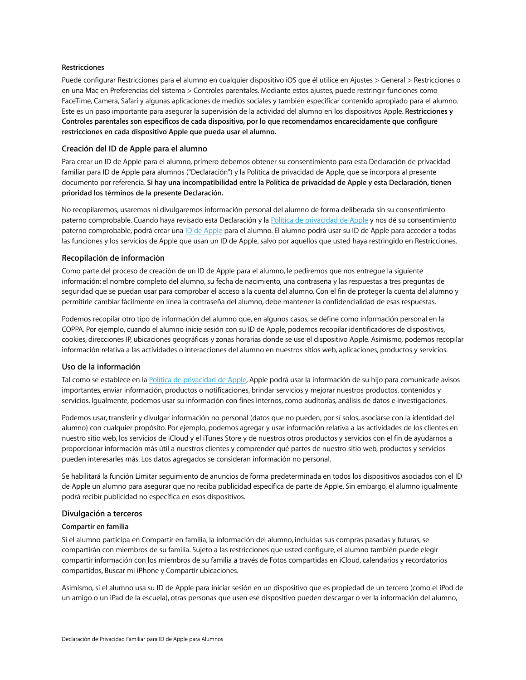## **Restricciones**

Puede configurar Restricciones para el alumno en cualquier dispositivo iOS que él utilice en Ajustes > General > Restricciones o en una Mac en Preferencias del sistema > Controles parentales. Mediante estos ajustes, puede restringir funciones como FaceTime, Camera, Safari y algunas aplicaciones de medios sociales y también especificar contenido apropiado para el alumno. Este es un paso importante para asegurar la supervisión de la actividad del alumno en los dispositivos Apple. **Restricciones y Controles parentales son específicos de cada dispositivo, por lo que recomendamos encarecidamente que configure restricciones en cada dispositivo Apple que pueda usar el alumno.** 

## **Creación del ID de Apple para el alumno**

Para crear un ID de Apple para el alumno, primero debemos obtener su consentimiento para esta Declaración de privacidad familiar para ID de Apple para alumnos ("Declaración") y la Política de privacidad de Apple, que se incorpora al presente documento por referencia. **Si hay una incompatibilidad entre la Política de privacidad de Apple y esta Declaración, tienen prioridad los términos de la presente Declaración.** 

No recopilaremos, usaremos ni divulgaremos información personal del alumno de forma deliberada sin su consentimiento paterno comprobable. Cuando haya revisado esta Declaración y la [Política de privacidad de Apple](http://www.apple.com/legal/privacy/es-la/) y nos dé su consentimiento paterno comprobable, podrá crear una *ID de Apple* para el alumno. El alumno podrá usar su [ID de Apple](http://www.apple.com/support/appleid/) para acceder a todas las funciones y los servicios de Apple que usan un ID de Apple, salvo por aquellos que usted haya restringido en Restricciones.

## **Recopilación de información**

Como parte del proceso de creación de un ID de Apple para el alumno, le pediremos que nos entregue la siguiente información: el nombre completo del alumno, su fecha de nacimiento, una contraseña y las respuestas a tres preguntas de seguridad que se puedan usar para comprobar el acceso a la cuenta del alumno. Con el fin de proteger la cuenta del alumno y permitirle cambiar fácilmente en línea la contraseña del alumno, debe mantener la confidencialidad de esas respuestas.

Podemos recopilar otro tipo de información del alumno que, en algunos casos, se define como información personal en la COPPA. Por ejemplo, cuando el alumno inicie sesión con su ID de Apple, podemos recopilar identificadores de dispositivos, cookies, direcciones IP, ubicaciones geográficas y zonas horarias donde se use el dispositivo Apple. Asimismo, podemos recopilar información relativa a las actividades o interacciones del alumno en nuestros sitios web, aplicaciones, productos y servicios.

## **Uso de la información**

Tal como se establece en la [Política de privacidad de Apple,](http://www.apple.com/legal/privacy/es-la/) Apple podrá usar la información de su hijo para comunicarle avisos importantes, enviar información, productos o notificaciones, brindar servicios y mejorar nuestros productos, contenidos y servicios. Igualmente, podemos usar su información con fines internos, como auditorías, análisis de datos e investigaciones.

Podemos usar, transferir y divulgar información no personal (datos que no pueden, por sí solos, asociarse con la identidad del alumno) con cualquier propósito. Por ejemplo, podemos agregar y usar información relativa a las actividades de los clientes en nuestro sitio web, los servicios de iCloud y el iTunes Store y de nuestros otros productos y servicios con el fin de ayudarnos a proporcionar información más útil a nuestros clientes y comprender qué partes de nuestro sitio web, productos y servicios pueden interesarles más. Los datos agregados se consideran información no personal.

Se habilitará la función Limitar seguimiento de anuncios de forma predeterminada en todos los dispositivos asociados con el ID de Apple un alumno para asegurar que no reciba publicidad específica de parte de Apple. Sin embargo, el alumno igualmente podrá recibir publicidad no específica en esos dispositivos.

### **Divulgación a terceros**

#### **Compartir en familia**

Si el alumno participa en Compartir en familia, la información del alumno, incluidas sus compras pasadas y futuras, se compartirán con miembros de su familia. Sujeto a las restricciones que usted configure, el alumno también puede elegir compartir información con los miembros de su familia a través de Fotos compartidas en iCloud, calendarios y recordatorios compartidos, Buscar mi iPhone y Compartir ubicaciones.

Asimismo, si el alumno usa su ID de Apple para iniciar sesión en un dispositivo que es propiedad de un tercero (como el iPod de un amigo o un iPad de la escuela), otras personas que usen ese dispositivo pueden descargar o ver la información del alumno,